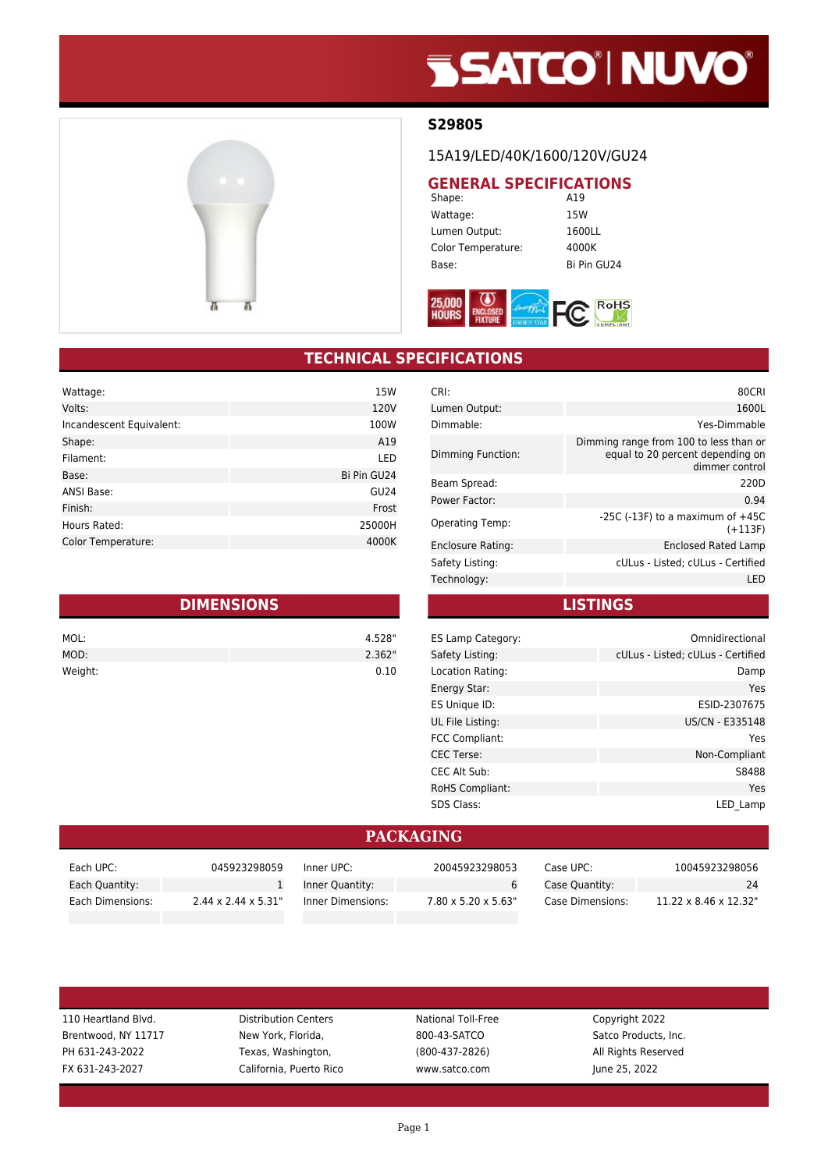# **SSATCO' NUVO'**



### **S29805**

### 15A19/LED/40K/1600/120V/GU24

# **GENERAL SPECIFICATIONS**<br>Shape: **A19**

Shape: Wattage: 15W Lumen Output: 1600LL Color Temperature: 4000K Base: Bi Pin GU24



### **TECHNICAL SPECIFICATIONS**

| Wattage:                 | 15W         |
|--------------------------|-------------|
| Volts:                   | 120V        |
| Incandescent Equivalent: | 100W        |
| Shape:                   | A19         |
| Filament:                | LED         |
| Base:                    | Bi Pin GU24 |
| <b>ANSI Base:</b>        | <b>GU24</b> |
| Finish:                  | Frost       |
| Hours Rated:             | 25000H      |
| Color Temperature:       | 4000K       |

| <b>DIMENSIONS</b> |  |        |
|-------------------|--|--------|
| MOL:              |  | 4.528" |
| MOD:              |  | 2.362" |
| Weight:           |  | 0.10   |

| CRI:              | 80CRI                                                                                        |
|-------------------|----------------------------------------------------------------------------------------------|
| Lumen Output:     | 1600L                                                                                        |
| Dimmable:         | Yes-Dimmable                                                                                 |
| Dimming Function: | Dimming range from 100 to less than or<br>equal to 20 percent depending on<br>dimmer control |
| Beam Spread:      | 220D                                                                                         |
| Power Factor:     | 0.94                                                                                         |
| Operating Temp:   | -25C (-13F) to a maximum of $+45C$<br>$(+113F)$                                              |
| Enclosure Rating: | Enclosed Rated Lamp                                                                          |
| Safety Listing:   | cULus - Listed; cULus - Certified                                                            |
| Technology:       | LED                                                                                          |

**LISTINGS**

| ES Lamp Category:      | Omnidirectional                   |
|------------------------|-----------------------------------|
| Safety Listing:        | cULus - Listed; cULus - Certified |
| Location Rating:       | Damp                              |
| Energy Star:           | Yes                               |
| ES Unique ID:          | ESID-2307675                      |
| UL File Listing:       | US/CN - E335148                   |
| <b>FCC Compliant:</b>  | Yes                               |
| <b>CEC Terse:</b>      | Non-Compliant                     |
| CEC Alt Sub:           | S8488                             |
| <b>RoHS Compliant:</b> | Yes                               |
| <b>SDS Class:</b>      | LED Lamp                          |
|                        |                                   |

#### **PACKAGING**

| Each UPC:        | 045923298059                     | Inner UPC:        | 20045923298053                   | Case UPC: l      | 10045923298056                     |
|------------------|----------------------------------|-------------------|----------------------------------|------------------|------------------------------------|
| Each Quantity:   |                                  | Inner Quantity:   |                                  | Case Quantity:   | 24                                 |
| Each Dimensions: | $2.44 \times 2.44 \times 5.31$ " | Inner Dimensions: | $7.80 \times 5.20 \times 5.63$ " | Case Dimensions: | $11.22 \times 8.46 \times 12.32$ " |

Brentwood, NY 11717 New York, Florida, 800-43-SATCO Satco Products, Inc. PH 631-243-2022 Texas, Washington, (800-437-2826) All Rights Reserved FX 631-243-2027 California, Puerto Rico www.satco.com June 25, 2022

110 Heartland Blvd. **Distribution Centers** National Toll-Free Copyright 2022